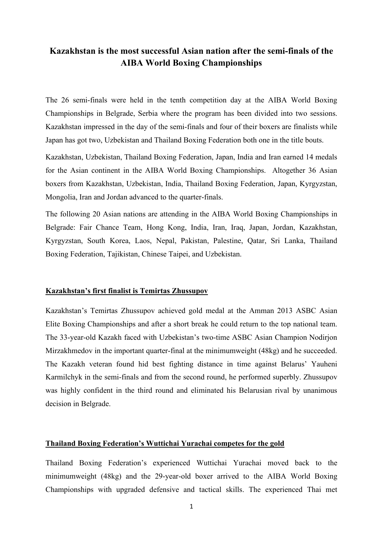# **Kazakhstan is the most successful Asian nation after the semi-finals of the AIBA World Boxing Championships**

The 26 semi-finals were held in the tenth competition day at the AIBA World Boxing Championships in Belgrade, Serbia where the program has been divided into two sessions. Kazakhstan impressed in the day of the semi-finals and four of their boxers are finalists while Japan has got two, Uzbekistan and Thailand Boxing Federation both one in the title bouts.

Kazakhstan, Uzbekistan, Thailand Boxing Federation, Japan, India and Iran earned 14 medals for the Asian continent in the AIBA World Boxing Championships. Altogether 36 Asian boxers from Kazakhstan, Uzbekistan, India, Thailand Boxing Federation, Japan, Kyrgyzstan, Mongolia, Iran and Jordan advanced to the quarter-finals.

The following 20 Asian nations are attending in the AIBA World Boxing Championships in Belgrade: Fair Chance Team, Hong Kong, India, Iran, Iraq, Japan, Jordan, Kazakhstan, Kyrgyzstan, South Korea, Laos, Nepal, Pakistan, Palestine, Qatar, Sri Lanka, Thailand Boxing Federation, Tajikistan, Chinese Taipei, and Uzbekistan.

# **Kazakhstan's first finalist is Temirtas Zhussupov**

Kazakhstan's Temirtas Zhussupov achieved gold medal at the Amman 2013 ASBC Asian Elite Boxing Championships and after a short break he could return to the top national team. The 33-year-old Kazakh faced with Uzbekistan's two-time ASBC Asian Champion Nodirjon Mirzakhmedov in the important quarter-final at the minimumweight (48kg) and he succeeded. The Kazakh veteran found hid best fighting distance in time against Belarus' Yauheni Karmilchyk in the semi-finals and from the second round, he performed superbly. Zhussupov was highly confident in the third round and eliminated his Belarusian rival by unanimous decision in Belgrade.

### **Thailand Boxing Federation's Wuttichai Yurachai competes for the gold**

Thailand Boxing Federation's experienced Wuttichai Yurachai moved back to the minimumweight (48kg) and the 29-year-old boxer arrived to the AIBA World Boxing Championships with upgraded defensive and tactical skills. The experienced Thai met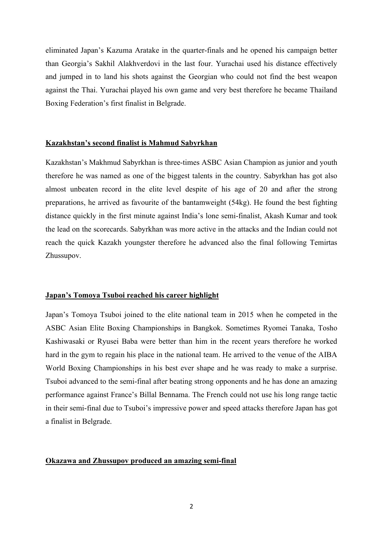eliminated Japan's Kazuma Aratake in the quarter-finals and he opened his campaign better than Georgia's Sakhil Alakhverdovi in the last four. Yurachai used his distance effectively and jumped in to land his shots against the Georgian who could not find the best weapon against the Thai. Yurachai played his own game and very best therefore he became Thailand Boxing Federation's first finalist in Belgrade.

#### **Kazakhstan's second finalist is Mahmud Sabyrkhan**

Kazakhstan's Makhmud Sabyrkhan is three-times ASBC Asian Champion as junior and youth therefore he was named as one of the biggest talents in the country. Sabyrkhan has got also almost unbeaten record in the elite level despite of his age of 20 and after the strong preparations, he arrived as favourite of the bantamweight (54kg). He found the best fighting distance quickly in the first minute against India's lone semi-finalist, Akash Kumar and took the lead on the scorecards. Sabyrkhan was more active in the attacks and the Indian could not reach the quick Kazakh youngster therefore he advanced also the final following Temirtas Zhussupov.

## **Japan's Tomoya Tsuboi reached his career highlight**

Japan's Tomoya Tsuboi joined to the elite national team in 2015 when he competed in the ASBC Asian Elite Boxing Championships in Bangkok. Sometimes Ryomei Tanaka, Tosho Kashiwasaki or Ryusei Baba were better than him in the recent years therefore he worked hard in the gym to regain his place in the national team. He arrived to the venue of the AIBA World Boxing Championships in his best ever shape and he was ready to make a surprise. Tsuboi advanced to the semi-final after beating strong opponents and he has done an amazing performance against France's Billal Bennama. The French could not use his long range tactic in their semi-final due to Tsuboi's impressive power and speed attacks therefore Japan has got a finalist in Belgrade.

# **Okazawa and Zhussupov produced an amazing semi-final**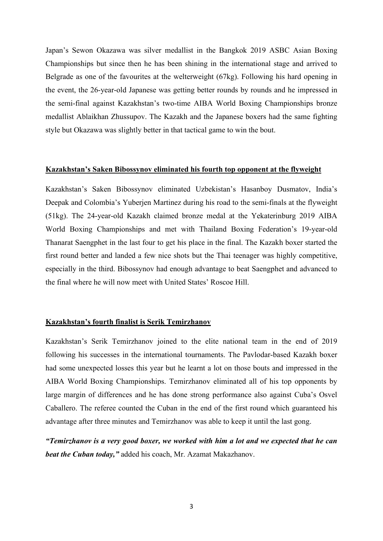Japan's Sewon Okazawa was silver medallist in the Bangkok 2019 ASBC Asian Boxing Championships but since then he has been shining in the international stage and arrived to Belgrade as one of the favourites at the welterweight (67kg). Following his hard opening in the event, the 26-year-old Japanese was getting better rounds by rounds and he impressed in the semi-final against Kazakhstan's two-time AIBA World Boxing Championships bronze medallist Ablaikhan Zhussupov. The Kazakh and the Japanese boxers had the same fighting style but Okazawa was slightly better in that tactical game to win the bout.

#### **Kazakhstan's Saken Bibossynov eliminated his fourth top opponent at the flyweight**

Kazakhstan's Saken Bibossynov eliminated Uzbekistan's Hasanboy Dusmatov, India's Deepak and Colombia's Yuberjen Martinez during his road to the semi-finals at the flyweight (51kg). The 24-year-old Kazakh claimed bronze medal at the Yekaterinburg 2019 AIBA World Boxing Championships and met with Thailand Boxing Federation's 19-year-old Thanarat Saengphet in the last four to get his place in the final. The Kazakh boxer started the first round better and landed a few nice shots but the Thai teenager was highly competitive, especially in the third. Bibossynov had enough advantage to beat Saengphet and advanced to the final where he will now meet with United States' Roscoe Hill.

# **Kazakhstan's fourth finalist is Serik Temirzhanov**

Kazakhstan's Serik Temirzhanov joined to the elite national team in the end of 2019 following his successes in the international tournaments. The Pavlodar-based Kazakh boxer had some unexpected losses this year but he learnt a lot on those bouts and impressed in the AIBA World Boxing Championships. Temirzhanov eliminated all of his top opponents by large margin of differences and he has done strong performance also against Cuba's Osvel Caballero. The referee counted the Cuban in the end of the first round which guaranteed his advantage after three minutes and Temirzhanov was able to keep it until the last gong.

*"Temirzhanov is a very good boxer, we worked with him a lot and we expected that he can beat the Cuban today,"* added his coach, Mr. Azamat Makazhanov.